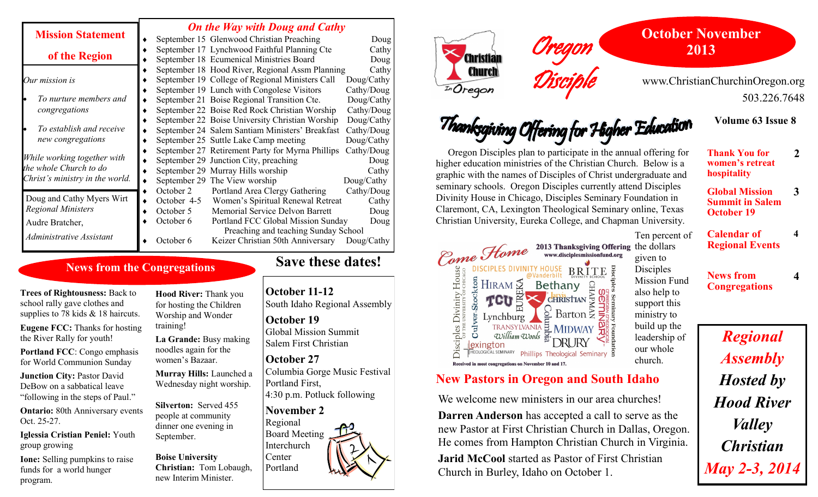#### *On the Way with Doug and Cathy*

| <b>Mission Statement</b>        | September 15 Glenwood Christian Preaching        | Doug       |
|---------------------------------|--------------------------------------------------|------------|
| of the Region                   | September 17 Lynchwood Faithful Planning Cte     | Cathy      |
|                                 | September 18 Ecumenical Ministries Board         | Doug       |
|                                 | September 18 Hood River, Regional Assm Planning  | Cathy      |
| Our mission is                  | September 19 College of Regional Ministers Call  | Doug/Cathy |
|                                 | September 19 Lunch with Congolese Visitors       | Cathy/Doug |
| To nurture members and          | September 21 Boise Regional Transition Cte.      | Doug/Cathy |
| congregations                   | September 22 Boise Red Rock Christian Worship    | Cathy/Doug |
|                                 | September 22 Boise University Christian Worship  | Doug/Cathy |
| To establish and receive        | September 24 Salem Santiam Ministers' Breakfast  | Cathy/Doug |
| new congregations               | September 25 Suttle Lake Camp meeting            | Doug/Cathy |
|                                 | September 27 Retirement Party for Myrna Phillips | Cathy/Doug |
| While working together with     | September 29 Junction City, preaching            | Doug       |
| the whole Church to do          | September 29 Murray Hills worship                | Cathy      |
| Christ's ministry in the world. | September 29 The View worship                    | Doug/Cathy |
|                                 | October 2<br>Portland Area Clergy Gathering      | Cathy/Doug |
| Doug and Cathy Myers Wirt       | October 4-5<br>Women's Spiritual Renewal Retreat | Cathy      |
| <b>Regional Ministers</b>       | Memorial Service Delvon Barrett<br>October 5     | Doug       |
| Audre Bratcher,                 | October 6<br>Portland FCC Global Mission Sunday  | Doug       |
| Administrative Assistant        | Preaching and teaching Sunday School             |            |
|                                 | Keizer Christian 50th Anniversary<br>October 6   | Doug/Cathy |
|                                 |                                                  |            |

## **News from the Congregations**

**Trees of Rightousness:** Back to school rally gave clothes and supplies to 78 kids & 18 haircuts.

**Eugene FCC:** Thanks for hosting the River Rally for youth!

**Portland FCC**: Congo emphasis for World Communion Sunday

**Junction City:** Pastor David DeBow on a sabbatical leave "following in the steps of Paul."

**Ontario:** 80th Anniversary events Oct. 25-27.

**Iglessia Cristian Peniel:** Youth group growing

**Ione:** Selling pumpkins to raise funds for a world hunger program.

**Hood River:** Thank you for hosting the Children Worship and Wonder training!

**La Grande:** Busy making noodles again for the women's Bazaar.

**Murray Hills:** Launched a Wednesday night worship.

**Silverton:** Served 455 people at community dinner one evening in September.

**Boise University Christian:** Tom Lobaugh, new Interim Minister.

# **Save these dates!**

**October 11-12** South Idaho Regional Assembly

**October 19** Global Mission Summit Salem First Christian

**October 27** Columbia Gorge Music Festival Portland First, 4:30 p.m. Potluck following

## **November 2**

Regional Board Meeting Interchurch Center Portland



Come Home

E HIRAM SE<br>SE TCU EN

Lynchburg

Received in most congregations on November 10 and 17.

 $\omega$ illiam  $\omega$ oods

**Disciples Divinity House** 

Culver-

exington



www.ChristianChurchinOregon.org 503.226.7648

**Volume 63 Issue 8**

**2**

**3**

**4**

**4**

Thanksgiving Offering for Higher Education Oregon Disciples plan to participate in the annual offering for **Thank You for**  higher education ministries of the Christian Church. Below is a **women's retreat hospitality** graphic with the names of Disciples of Christ undergraduate and seminary schools. Oregon Disciples currently attend Disciples **Global Mission** Divinity House in Chicago, Disciples Seminary Foundation in

2013 Thanksgiving Offering the dollars

**BRITE** 

 $CHRISTIAN$   $\frac{1}{2}$   $\frac{1}{2}$ 

Barton  $\geq$ 

CHI

Ę

**Summit in Salem October 19**

**Calendar of Regional Events** Ten percent of

ww.disciplesmissionfund.org given to Disciples Mission Fund also help to support this ministry to build up the our whole

#### **News from Congregations**

bisciples Seminary leadership of **HEOLOGICAL SEMINARY Phillips Theological Seminary 9** church.

# **New Pastors in Oregon and South Idaho**

pC

TRANSYLVANIA EMIDWAY

We welcome new ministers in our area churches!

**Darren Anderson** has accepted a call to serve as the new Pastor at First Christian Church in Dallas, Oregon. He comes from Hampton Christian Church in Virginia.

Oregon

Disciple

Claremont, CA, Lexington Theological Seminary online, Texas Christian University, Eureka College, and Chapman University.

Bethany

**Jarid McCool** started as Pastor of First Christian Church in Burley, Idaho on October 1.

*Regional Assembly Hosted by Hood River Valley Christian May 2-3, 2014*